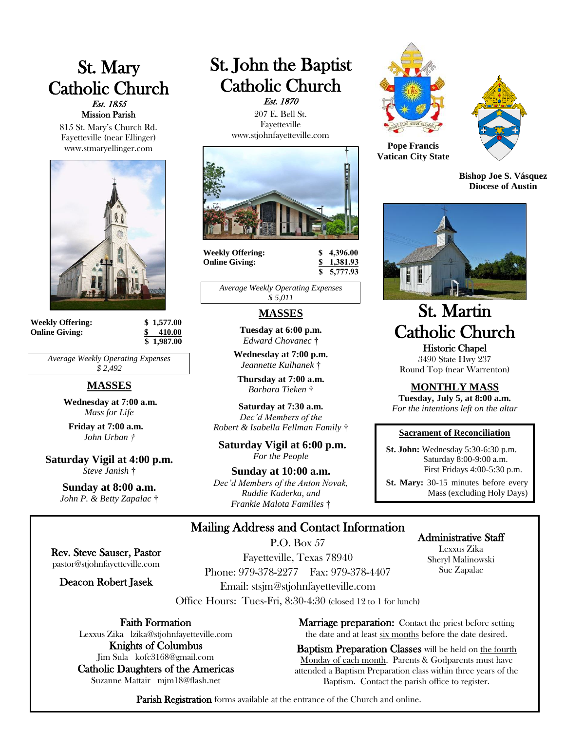# St. Mary Catholic Church Est. 1855 Mission Parish

815 St. Mary's Church Rd. Fayetteville (near Ellinger) www.stmaryellinger.com



| <b>Weekly Offering:</b> |
|-------------------------|
| <b>Online Giving:</b>   |

**Weekly Offering: \$ 1,577.00 Online Giving: \$ 410.00 \$ 1,987.00**

*Average Weekly Operating Expenses \$ 2,492*

## **MASSES**

**Wednesday at 7:00 a.m.** *Mass for Life*

**Friday at 7:00 a.m.** *John Urban †*

**Saturday Vigil at 4:00 p.m.** *Steve Janish* †

> **Sunday at 8:00 a.m.** *John P. & Betty Zapalac* †

Rev. Steve Sauser, Pastor pastor@stjohnfayetteville.com Deacon Robert Jasek

# St. John the Baptist Catholic Church Est. 1870

 207 E. Bell St. Fayetteville www.stjohnfayetteville.com



**Weekly Offering: \$ 4,396.00 Online Giving: \$ 1,381.93**

 **\$ 5,777.93**

*Average Weekly Operating Expenses \$ 5,011*

## **MASSES**

**Tuesday at 6:00 p.m.** *Edward Chovanec* †

**Wednesday at 7:00 p.m.** *Jeannette Kulhanek* †

**Thursday at 7:00 a.m.** *Barbara Tieken* †

**Saturday at 7:30 a.m.**  *Dec'd Members of the Robert & Isabella Fellman Family* †

**Saturday Vigil at 6:00 p.m.** *For the People*

**Sunday at 10:00 a.m.** *Dec'd Members of the Anton Novak, Ruddie Kaderka, and Frankie Malota Families* †





**Pope Francis Vatican City State**

**Bishop Joe S. Vásquez Diocese of Austin**



# St. Martin Catholic Church Historic Chapel

3490 State Hwy 237 Round Top (near Warrenton)

**MONTHLY MASS**

**Tuesday, July 5, at 8:00 a.m.** *For the intentions left on the altar*

#### **Sacrament of Reconciliation**

 **St. John:** Wednesday 5:30-6:30 p.m. Saturday 8:00-9:00 a.m. First Fridays 4:00-5:30 p.m.

 **St. Mary:** 30-15 minutes before every Mass (excluding Holy Days)

> Administrative Staff Lexxus Zika Sheryl Malinowski

# Mailing Address and Contact Information

P.O. Box 57

Fayetteville, Texas 78940 Phone: 979-378-2277 Fax: 979-378-4407 Email: stsjm@stjohnfayetteville.com

Office Hours: Tues-Fri, 8:30-4:30 (closed 12 to 1 for lunch)

Faith Formation

Lexxus Zika lzika@stjohnfayetteville.com Knights of Columbus

Jim Sula kofc3168@gmail.com Catholic Daughters of the Americas Suzanne Mattair mjm18@flash.net

Sue Zapalac

**Marriage preparation:** Contact the priest before setting the date and at least six months before the date desired.

Baptism Preparation Classes will be held on the fourth Monday of each month. Parents & Godparents must have attended a Baptism Preparation class within three years of the Baptism. Contact the parish office to register.

Parish Registration forms available at the entrance of the Church and online.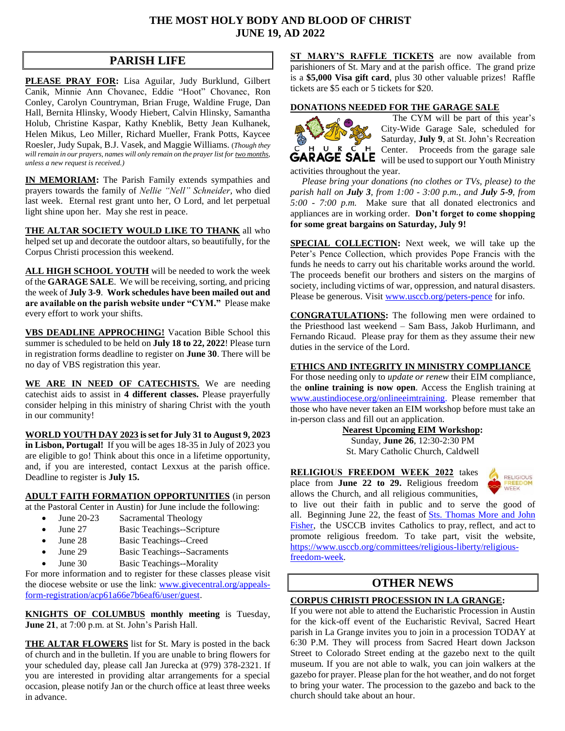## **THE MOST HOLY BODY AND BLOOD OF CHRIST JUNE 19, AD 2022**

# **PARISH LIFE**

**PLEASE PRAY FOR:** Lisa Aguilar, Judy Burklund, Gilbert Canik, Minnie Ann Chovanec, Eddie "Hoot" Chovanec, Ron Conley, Carolyn Countryman, Brian Fruge, Waldine Fruge, Dan Hall, Bernita Hlinsky, Woody Hiebert, Calvin Hlinsky, Samantha Holub, Christine Kaspar, Kathy Kneblik, Betty Jean Kulhanek, Helen Mikus, Leo Miller, Richard Mueller, Frank Potts, Kaycee Roesler, Judy Supak, B.J. Vasek, and Maggie Williams. (*Though they will remain in our prayers, names will only remain on the prayer list for two months, unless a new request is received.)*

**IN MEMORIAM:** The Parish Family extends sympathies and prayers towards the family of *Nellie "Nell" Schneider,* who died last week. Eternal rest grant unto her, O Lord, and let perpetual light shine upon her. May she rest in peace.

**THE ALTAR SOCIETY WOULD LIKE TO THANK** all who helped set up and decorate the outdoor altars, so beautifully, for the Corpus Christi procession this weekend.

**ALL HIGH SCHOOL YOUTH** will be needed to work the week of the **GARAGE SALE**. We will be receiving, sorting, and pricing the week of **July 3-9**. **Work schedules have been mailed out and are available on the parish website under "CYM."** Please make every effort to work your shifts.

**VBS DEADLINE APPROCHING!** Vacation Bible School this summer is scheduled to be held on **July 18 to 22, 2022**! Please turn in registration forms deadline to register on **June 30**. There will be no day of VBS registration this year.

**WE ARE IN NEED OF CATECHISTS.** We are needing catechist aids to assist in **4 different classes.** Please prayerfully consider helping in this ministry of sharing Christ with the youth in our community!

**WORLD YOUTH DAY 2023 is set for July 31 to August 9, 2023 in Lisbon, Portugal!** If you will be ages 18-35 in July of 2023 you are eligible to go! Think about this once in a lifetime opportunity, and, if you are interested, contact Lexxus at the parish office. Deadline to register is **July 15.**

#### **ADULT FAITH FORMATION OPPORTUNITIES** (in person at the Pastoral Center in Austin) for June include the following:

- June 20-23 Sacramental Theology
- June 27 Basic Teachings--Scripture
- June 28 Basic Teachings--Creed
- June 29 Basic Teachings--Sacraments
- June 30 Basic Teachings--Morality

For more information and to register for these classes please visit the diocese website or use the link: [www.givecentral.org/appeals](https://www.givecentral.org/appeals-form-registration/acp61a66e7b6eaf6/user/guest)[form-registration/acp61a66e7b6eaf6/user/guest.](https://www.givecentral.org/appeals-form-registration/acp61a66e7b6eaf6/user/guest)

**KNIGHTS OF COLUMBUS monthly meeting** is Tuesday, **June 21**, at 7:00 p.m. at St. John's Parish Hall.

**THE ALTAR FLOWERS** list for St. Mary is posted in the back of church and in the bulletin. If you are unable to bring flowers for your scheduled day, please call Jan Jurecka at (979) 378-2321. If you are interested in providing altar arrangements for a special occasion, please notify Jan or the church office at least three weeks in advance.

**ST MARY'S RAFFLE TICKETS** are now available from parishioners of St. Mary and at the parish office. The grand prize is a **\$5,000 Visa gift card**, plus 30 other valuable prizes! Raffle tickets are \$5 each or 5 tickets for \$20.

#### **DONATIONS NEEDED FOR THE GARAGE SALE**



 The CYM will be part of this year's City-Wide Garage Sale, scheduled for Saturday, **July 9**, at St. John's Recreation  $P$   $P$   $R$   $C$   $H$  Center. Proceeds from the garage sale **GARAGE SALE** will be used to support our Youth Ministry activities throughout the year.

 *Please bring your donations (no clothes or TVs, please) to the parish hall on July 3, from 1:00 - 3:00 p.m., and July 5-9, from 5:00 - 7:00 p.m.* Make sure that all donated electronics and appliances are in working order. **Don't forget to come shopping for some great bargains on Saturday, July 9!**

**SPECIAL COLLECTION:** Next week, we will take up the Peter's Pence Collection, which provides Pope Francis with the funds he needs to carry out his charitable works around the world. The proceeds benefit our brothers and sisters on the margins of society, including victims of war, oppression, and natural disasters. Please be generous. Visi[t www.usccb.org/peters-pence](http://www.usccb.org/peters-pence) for info.

**CONGRATULATIONS:** The following men were ordained to the Priesthood last weekend – Sam Bass, Jakob Hurlimann, and Fernando Ricaud. Please pray for them as they assume their new duties in the service of the Lord.

#### **ETHICS AND INTEGRITY IN MINISTRY COMPLIANCE**

For those needing only to *update or renew* their EIM compliance, the **online training is now open**. Access the English training at [www.austindiocese.org/onlineeimtraining.](http://www.austindiocese.org/onlineeimtraining) Please remember that those who have never taken an EIM workshop before must take an in-person class and fill out an application.

# **Nearest Upcoming EIM Workshop:**

Sunday, **June 26**, 12:30-2:30 PM St. Mary Catholic Church, Caldwell

#### **RELIGIOUS FREEDOM WEEK 2022** takes

place from **June 22 to 29.** Religious freedom allows the Church, and all religious communities,



to live out their faith in public and to serve the good of all. Beginning June 22, the feast of [Sts. Thomas More and John](https://www.usccb.org/committees/religious-liberty/st-thomas-more-and-st-john-fisher)  [Fisher,](https://www.usccb.org/committees/religious-liberty/st-thomas-more-and-st-john-fisher) the USCCB invites Catholics to pray, reflect, and act to promote religious freedom. To take part, visit the website, [https://www.usccb.org/committees/religious-liberty/religious](https://www.usccb.org/committees/religious-liberty/religious-freedom-week)[freedom-week.](https://www.usccb.org/committees/religious-liberty/religious-freedom-week)

# **OTHER NEWS**

# **CORPUS CHRISTI PROCESSION IN LA GRANGE:**

If you were not able to attend the Eucharistic Procession in Austin for the kick-off event of the Eucharistic Revival, Sacred Heart parish in La Grange invites you to join in a procession TODAY at 6:30 P.M. They will process from Sacred Heart down Jackson Street to Colorado Street ending at the gazebo next to the quilt museum. If you are not able to walk, you can join walkers at the gazebo for prayer. Please plan for the hot weather, and do not forget to bring your water. The procession to the gazebo and back to the church should take about an hour.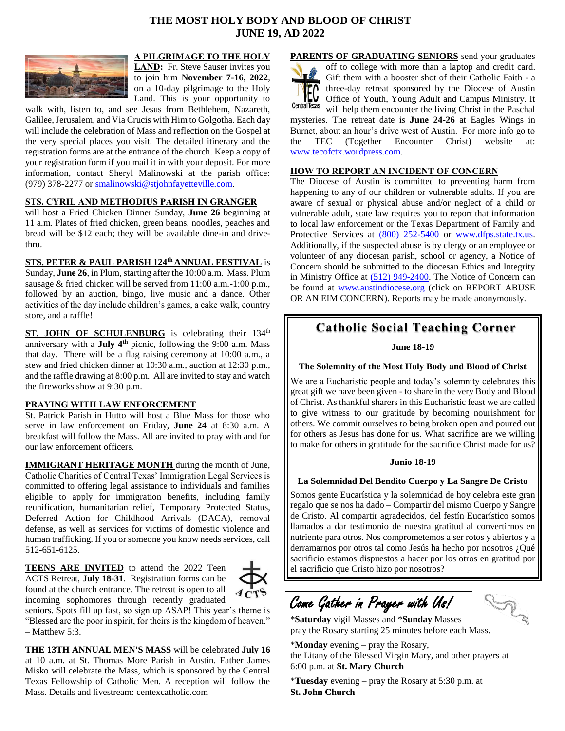# **THE MOST HOLY BODY AND BLOOD OF CHRIST JUNE 19, AD 2022**



**A PILGRIMAGE TO THE HOLY**  LAND: Fr. Steve Sauser invites you to join him **November 7-16, 2022**, on a 10-day pilgrimage to the Holy Land. This is your opportunity to

walk with, listen to, and see Jesus from Bethlehem, Nazareth, Galilee, Jerusalem, and Via Crucis with Him to Golgotha. Each day will include the celebration of Mass and reflection on the Gospel at the very special places you visit. The detailed itinerary and the registration forms are at the entrance of the church. Keep a copy of your registration form if you mail it in with your deposit. For more information, contact Sheryl Malinowski at the parish office: (979) 378-2277 or [smalinowski@stjohnfayetteville.com.](mailto:smalinowski@stjohnfayetteville.com)

#### **STS. CYRIL AND METHODIUS PARISH IN GRANGER**

will host a Fried Chicken Dinner Sunday, **June 26** beginning at 11 a.m. Plates of fried chicken, green beans, noodles, peaches and bread will be \$12 each; they will be available dine-in and drivethru.

#### **STS. PETER & PAUL PARISH 124th ANNUAL FESTIVAL** is

Sunday, **June 26**, in Plum, starting after the 10:00 a.m. Mass. Plum sausage & fried chicken will be served from 11:00 a.m.-1:00 p.m., followed by an auction, bingo, live music and a dance. Other activities of the day include children's games, a cake walk, country store, and a raffle!

ST. JOHN OF SCHULENBURG is celebrating their 134<sup>th</sup> anniversary with a **July 4th** picnic, following the 9:00 a.m. Mass that day. There will be a flag raising ceremony at 10:00 a.m., a stew and fried chicken dinner at 10:30 a.m., auction at 12:30 p.m., and the raffle drawing at 8:00 p.m. All are invited to stay and watch the fireworks show at 9:30 p.m.

#### **PRAYING WITH LAW ENFORCEMENT**

St. Patrick Parish in Hutto will host a Blue Mass for those who serve in law enforcement on Friday, **June 24** at 8:30 a.m. A breakfast will follow the Mass. All are invited to pray with and for our law enforcement officers.

**IMMIGRANT HERITAGE MONTH** during the month of June, Catholic Charities of Central Texas' Immigration Legal Services is committed to offering legal assistance to individuals and families eligible to apply for immigration benefits, including family reunification, humanitarian relief, Temporary Protected Status, Deferred Action for Childhood Arrivals (DACA), removal defense, as well as services for victims of domestic violence and human trafficking. If you or someone you know needs services, call 512-651-6125.

**TEENS ARE INVITED** to attend the 2022 Teen ACTS Retreat, **July 18-31**. Registration forms can be found at the church entrance. The retreat is open to all incoming sophomores through recently graduated



seniors. Spots fill up fast, so sign up ASAP! This year's theme is "Blessed are the poor in spirit, for theirs is the kingdom of heaven."  $-$  Matthew 5:3.

**THE 13TH ANNUAL MEN'S MASS** will be celebrated **July 16** at 10 a.m. at St. Thomas More Parish in Austin. Father James Misko will celebrate the Mass, which is sponsored by the Central Texas Fellowship of Catholic Men. A reception will follow the Mass. Details and livestream: centexcatholic.com

**PARENTS OF GRADUATING SENIORS** send your graduates off to college with more than a laptop and credit card. Gift them with a booster shot of their Catholic Faith - a three-day retreat sponsored by the Diocese of Austin Office of Youth, Young Adult and Campus Ministry. It **Central Texas** will help them encounter the living Christ in the Paschal mysteries. The retreat date is **June 24-26** at Eagles Wings in Burnet, about an hour's drive west of Austin. For more info go to the TEC (Together Encounter Christ) website at: [www.tecofctx.wordpress.com.](http://www.tecofctx.wordpress.com/) 

#### **HOW TO REPORT AN INCIDENT OF CONCERN**

The Diocese of Austin is committed to preventing harm from happening to any of our children or vulnerable adults. If you are aware of sexual or physical abuse and/or neglect of a child or vulnerable adult, state law requires you to report that information to local law enforcement or the Texas Department of Family and Protective Services at [\(800\) 252-5400](tel:%28800%29%20252-5400) or [www.dfps.state.tx.us.](http://www.dfps.state.tx.us/) Additionally, if the suspected abuse is by clergy or an employee or volunteer of any diocesan parish, school or agency, a Notice of Concern should be submitted to the diocesan Ethics and Integrity in Ministry Office at (512) [949-2400.](tel:%28512%29%20949-2400) The Notice of Concern can be found at [www.austindiocese.org](http://www.austindiocese.org/) (click on REPORT ABUSE OR AN EIM CONCERN). Reports may be made anonymously.

# **Catholic Social Teaching Corner**

**June 18-19**

#### **The Solemnity of the Most Holy Body and Blood of Christ**

We are a Eucharistic people and today's solemnity celebrates this great gift we have been given - to share in the very Body and Blood of Christ. As thankful sharers in this Eucharistic feast we are called to give witness to our gratitude by becoming nourishment for others. We commit ourselves to being broken open and poured out for others as Jesus has done for us. What sacrifice are we willing to make for others in gratitude for the sacrifice Christ made for us?

#### **Junio 18-19**

#### **La Solemnidad Del Bendito Cuerpo y La Sangre De Cristo**

Somos gente Eucarística y la solemnidad de hoy celebra este gran regalo que se nos ha dado – Compartir del mismo Cuerpo y Sangre de Cristo. Al compartir agradecidos, del festín Eucarístico somos llamados a dar testimonio de nuestra gratitud al convertirnos en nutriente para otros. Nos comprometemos a ser rotos y abiertos y a derramarnos por otros tal como Jesús ha hecho por nosotros ¿Qué sacrificio estamos dispuestos a hacer por los otros en gratitud por el sacrificio que Cristo hizo por nosotros? 

LA

# Come Gather in Prayer with Us!

\***Saturday** vigil Masses and \***Sunday** Masses – pray the Rosary starting 25 minutes before each Mass.

\***Monday** evening – pray the Rosary, the Litany of the Blessed Virgin Mary, and other prayers at 6:00 p.m. at **St. Mary Church**

\***Tuesday** evening – pray the Rosary at 5:30 p.m. at **St. John Church**